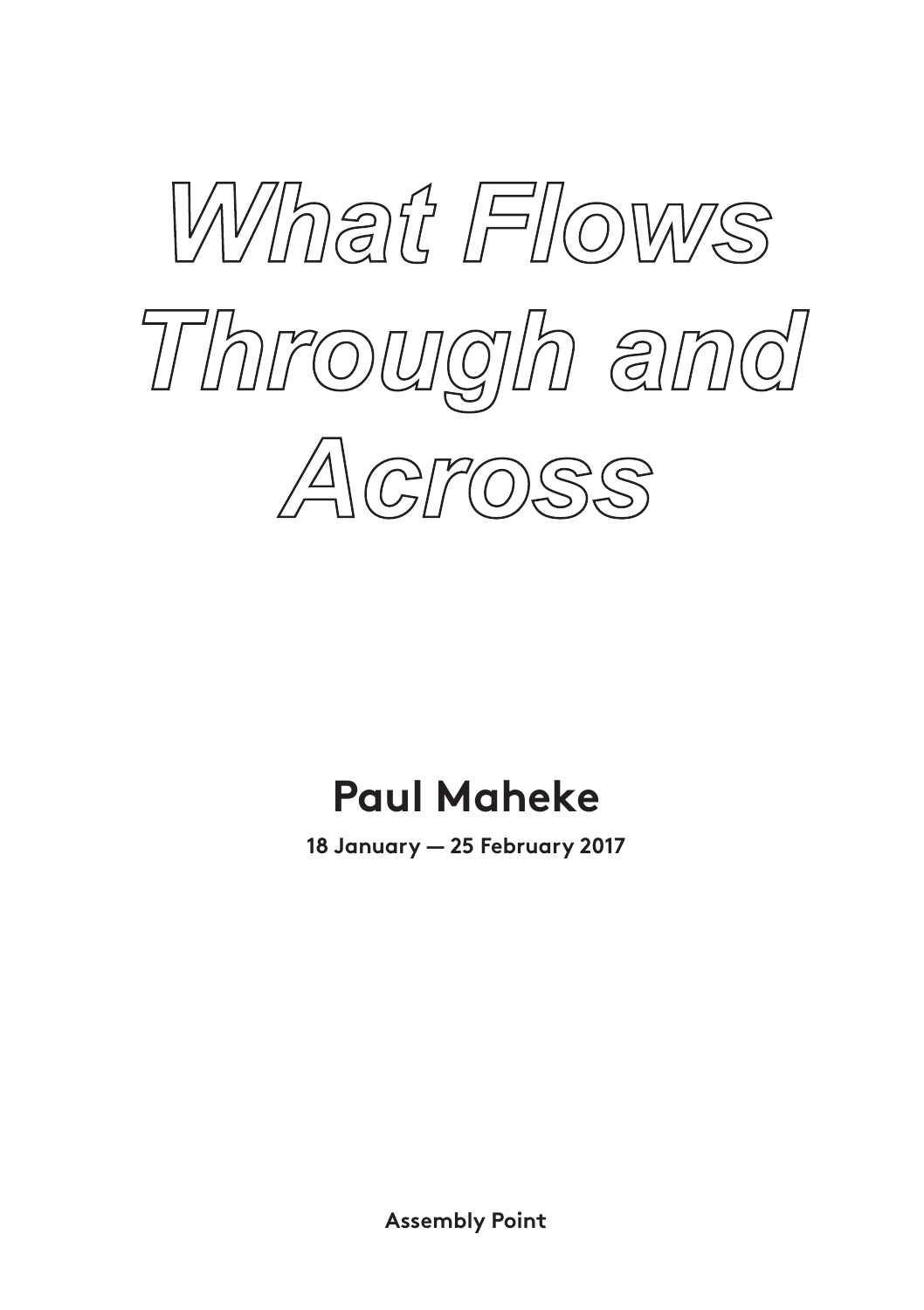

## **Paul Maheke**

**18 January — 25 February 2017**

**Assembly Point**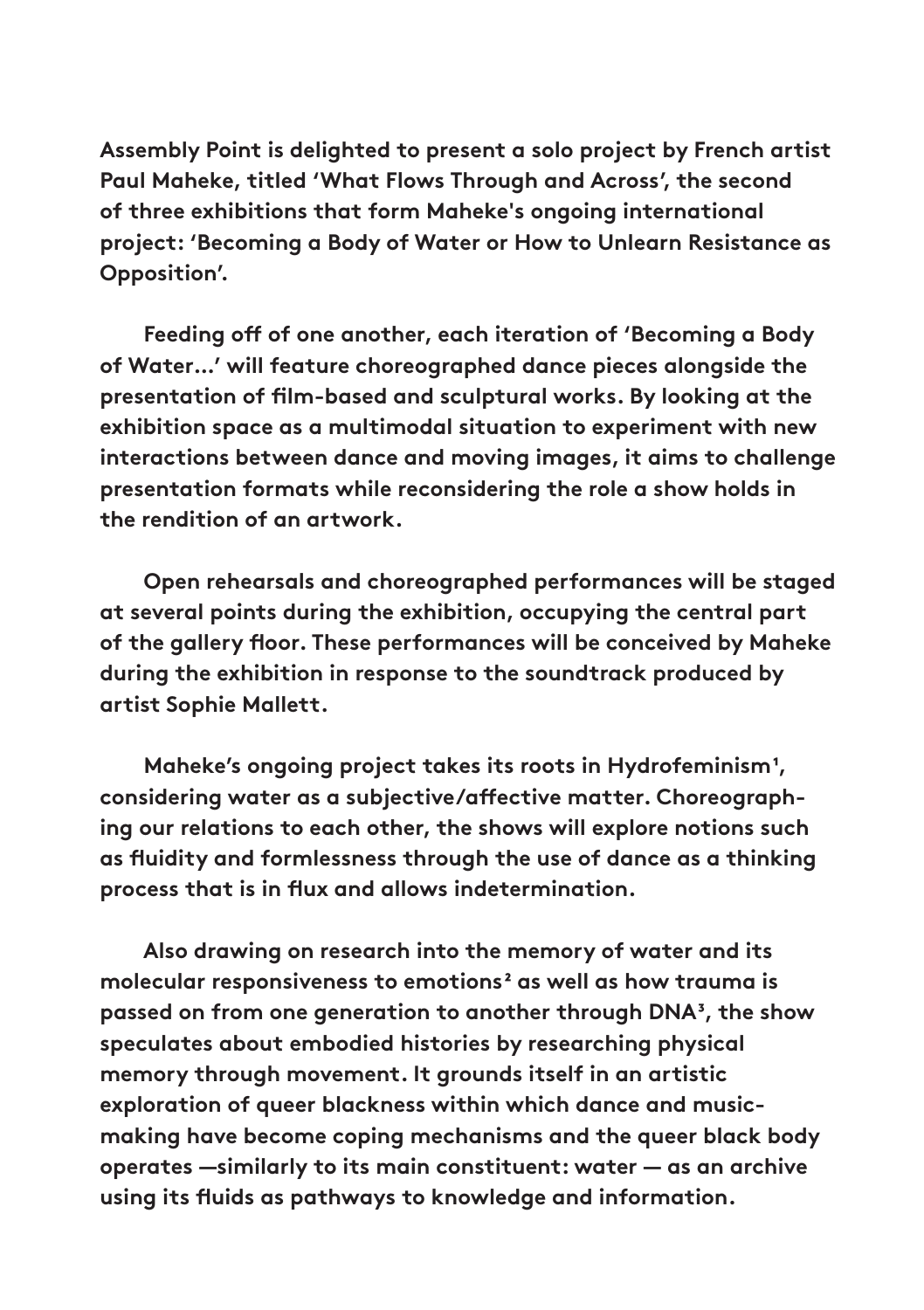**Assembly Point is delighted to present a solo project by French artist Paul Maheke, titled 'What Flows Through and Across', the second of three exhibitions that form Maheke's ongoing international project: 'Becoming a Body of Water or How to Unlearn Resistance as Opposition'.**

 **Feeding off of one another, each iteration of 'Becoming a Body of Water…' will feature choreographed dance pieces alongside the presentation of film-based and sculptural works. By looking at the exhibition space as a multimodal situation to experiment with new interactions between dance and moving images, it aims to challenge presentation formats while reconsidering the role a show holds in the rendition of an artwork.** 

 **Open rehearsals and choreographed performances will be staged at several points during the exhibition, occupying the central part of the gallery floor. These performances will be conceived by Maheke during the exhibition in response to the soundtrack produced by artist Sophie Mallett.** 

 **Maheke's ongoing project takes its roots in Hydrofeminism1, considering water as a subjective/affective matter. Choreographing our relations to each other, the shows will explore notions such as fluidity and formlessness through the use of dance as a thinking process that is in flux and allows indetermination.**

 **Also drawing on research into the memory of water and its**  molecular responsiveness to emotions<sup>2</sup> as well as how trauma is **passed on from one generation to another through DNA3, the show speculates about embodied histories by researching physical memory through movement. It grounds itself in an artistic exploration of queer blackness within which dance and musicmaking have become coping mechanisms and the queer black body operates —similarly to its main constituent: water — as an archive using its fluids as pathways to knowledge and information.**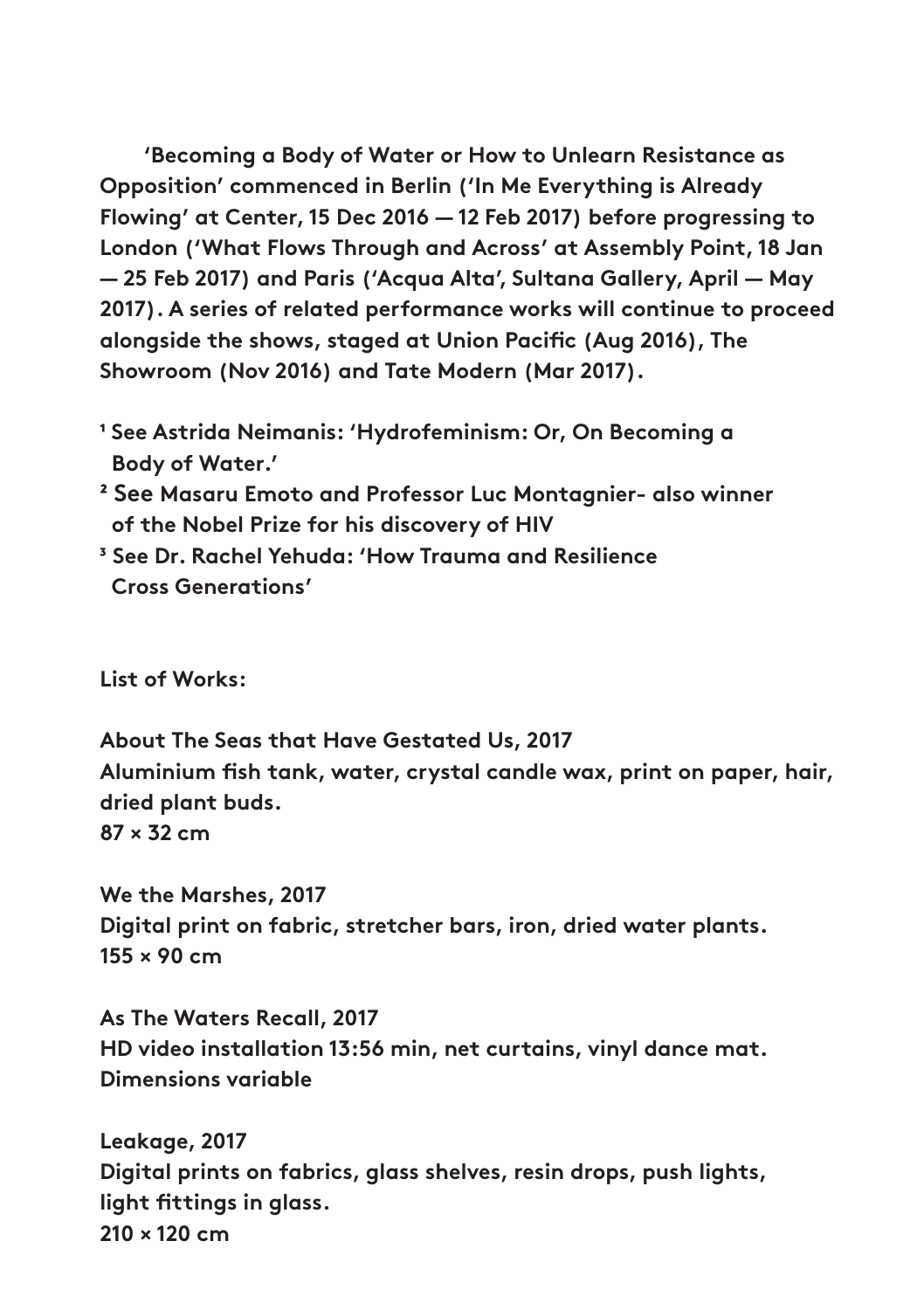**'Becoming a Body of Water or How to Unlearn Resistance as Opposition' commenced in Berlin ('In Me Everything is Already Flowing' at Center, 15 Dec 2016 — 12 Feb 2017) before progressing to London ('What Flows Through and Across' at Assembly Point, 18 Jan — 25 Feb 2017) and Paris ('Acqua Alta', Sultana Gallery, April — May 2017). A series of related performance works will continue to proceed alongside the shows, staged at Union Pacific (Aug 2016), The Showroom (Nov 2016) and Tate Modern (Mar 2017).** 

- **1 See Astrida Neimanis: 'Hydrofeminism: Or, On Becoming a Body of Water.'**
- **² See Masaru Emoto and Professor Luc Montagnier- also winner of the Nobel Prize for his discovery of HIV**
- **³ See Dr. Rachel Yehuda: 'How Trauma and Resilience Cross Generations'**

**List of Works:** 

**About The Seas that Have Gestated Us, 2017 Aluminium fish tank, water, crystal candle wax, print on paper, hair, dried plant buds. 87 × 32 cm**

**We the Marshes, 2017 Digital print on fabric, stretcher bars, iron, dried water plants. 155 × 90 cm**

**As The Waters Recall, 2017 HD video installation 13:56 min, net curtains, vinyl dance mat. Dimensions variable**

**Leakage, 2017 Digital prints on fabrics, glass shelves, resin drops, push lights, light fittings in glass. 210 × 120 cm**